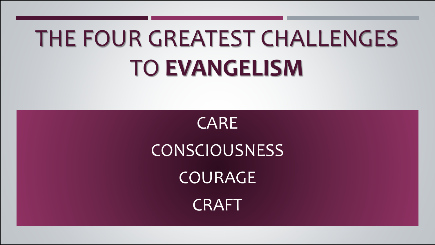## THE FOUR GREATEST CHALLENGES TO **EVANGELISM**

CARE **CONSCIOUSNESS** COURAGE **CRAFT**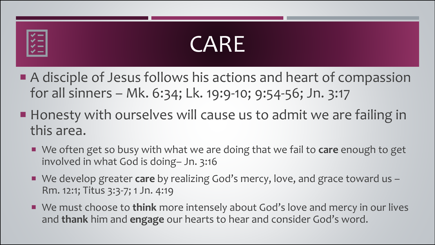# $\dot{\checkmark}$  =

## CARE

- A disciple of Jesus follows his actions and heart of compassion for all sinners – Mk. 6:34; Lk. 19:9-10; 9:54-56; Jn. 3:17
- Honesty with ourselves will cause us to admit we are failing in this area.
	- We often get so busy with what we are doing that we fail to **care** enough to get involved in what God is doing– Jn. 3:16
	- We develop greater **care** by realizing God's mercy, love, and grace toward us Rm. 12:1; Titus 3:3-7; 1 Jn. 4:19
	- We must choose to **think** more intensely about God's love and mercy in our lives and **thank** him and **engage** our hearts to hear and consider God's word.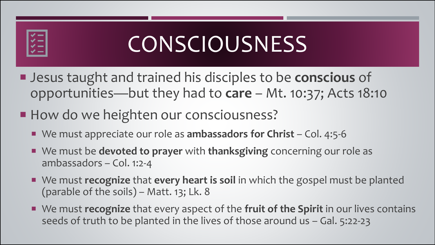

## **CONSCIOUSNESS**

- Jesus taught and trained his disciples to be **conscious** of opportunities—but they had to **care** – Mt. 10:37; Acts 18:10
- How do we heighten our consciousness?
	- We must appreciate our role as **ambassadors for Christ** Col. 4:5-6
	- We must be **devoted to prayer** with **thanksgiving** concerning our role as ambassadors – Col. 1:2-4
	- We must **recognize** that **every heart is soil** in which the gospel must be planted (parable of the soils) – Matt. 13; Lk. 8
	- We must **recognize** that every aspect of the fruit of the Spirit in our lives contains seeds of truth to be planted in the lives of those around us – Gal. 5:22-23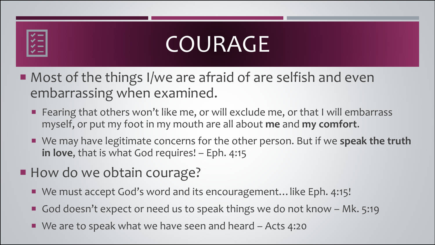# **VE**

## COURAGE

- Most of the things I/we are afraid of are selfish and even embarrassing when examined.
	- **F** Fearing that others won't like me, or will exclude me, or that I will embarrass myself, or put my foot in my mouth are all about **me** and **my comfort**.
	- We may have legitimate concerns for the other person. But if we speak the truth in love, that is what God requires! – Eph. 4:15
- How do we obtain courage?
	- We must accept God's word and its encouragement... like Eph. 4:15!
	- God doesn't expect or need us to speak things we do not know Mk. 5:19
	- We are to speak what we have seen and heard Acts 4:20